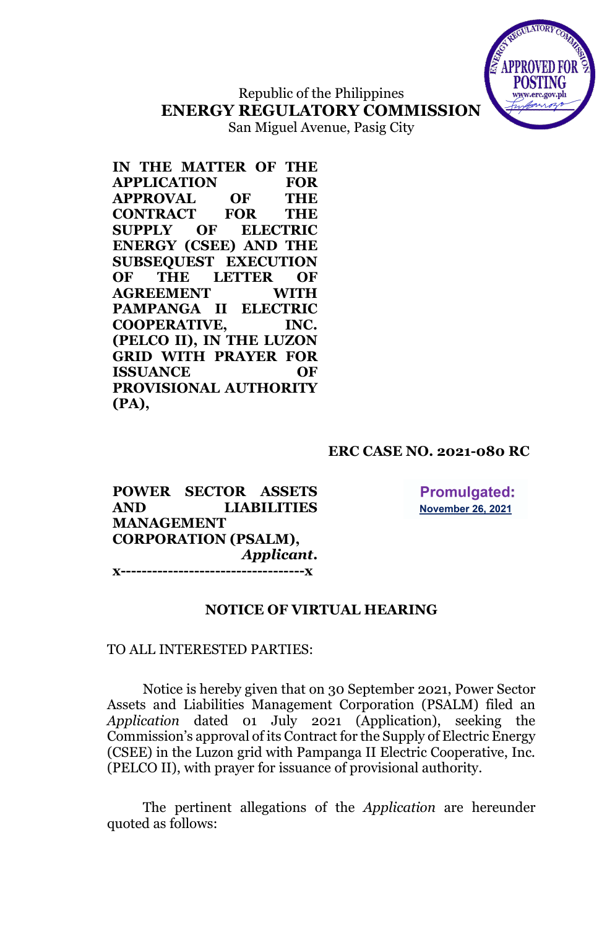

# Republic of the Philippines **ENERGY REGULATORY COMMISSION**

San Miguel Avenue, Pasig City

**IN THE MATTER OF THE APPLICATION FOR APPROVAL OF THE CONTRACT FOR THE SUPPLY OF ELECTRIC ENERGY (CSEE) AND THE SUBSEQUEST EXECUTION OF THE LETTER OF AGREEMENT WITH PAMPANGA II ELECTRIC COOPERATIVE, INC. (PELCO II), IN THE LUZON GRID WITH PRAYER FOR ISSUANCE OF PROVISIONAL AUTHORITY (PA),**

# **ERC CASE NO. 2021-080 RC**

**POWER SECTOR ASSETS AND LIABILITIES MANAGEMENT CORPORATION (PSALM),** *Applicant***. x-----------------------------------x**

**Promulgated: November 26, 2021** 

## **NOTICE OF VIRTUAL HEARING**

TO ALL INTERESTED PARTIES:

Notice is hereby given that on 30 September 2021, Power Sector Assets and Liabilities Management Corporation (PSALM) filed an *Application* dated 01 July 2021 (Application), seeking the Commission's approval of its Contract for the Supply of Electric Energy (CSEE) in the Luzon grid with Pampanga II Electric Cooperative, Inc. (PELCO II), with prayer for issuance of provisional authority.

The pertinent allegations of the *Application* are hereunder quoted as follows: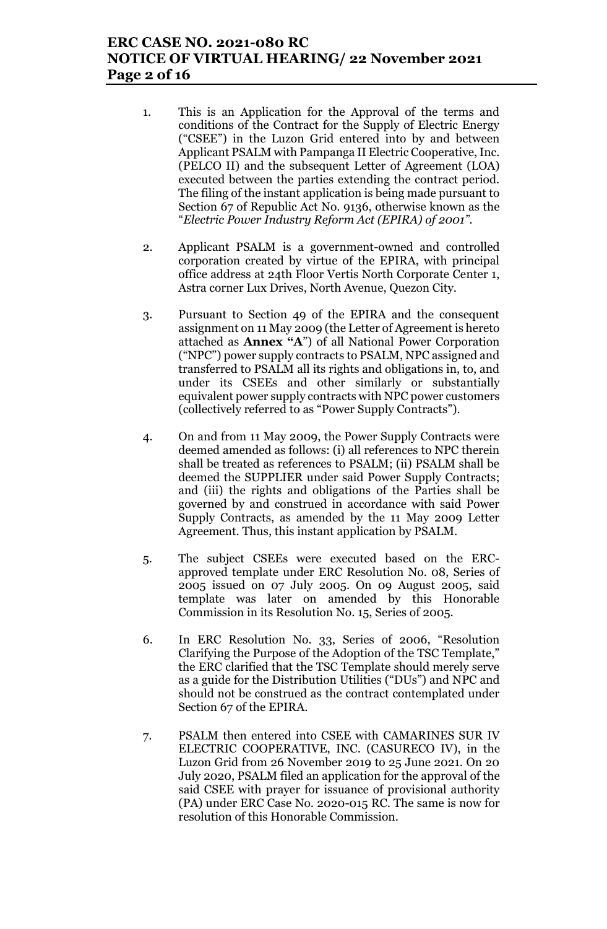# **ERC CASE NO. 2021-080 RC NOTICE OF VIRTUAL HEARING/ 22 November 2021 Page 2 of 16**

- 1. This is an Application for the Approval of the terms and conditions of the Contract for the Supply of Electric Energy ("CSEE") in the Luzon Grid entered into by and between Applicant PSALM with Pampanga II Electric Cooperative, Inc. (PELCO II) and the subsequent Letter of Agreement (LOA) executed between the parties extending the contract period. The filing of the instant application is being made pursuant to Section 67 of Republic Act No. 9136, otherwise known as the "*Electric Power Industry Reform Act (EPIRA) of 2001".*
- 2. Applicant PSALM is a government-owned and controlled corporation created by virtue of the EPIRA, with principal office address at 24th Floor Vertis North Corporate Center 1, Astra corner Lux Drives, North Avenue, Quezon City.
- 3. Pursuant to Section 49 of the EPIRA and the consequent assignment on 11 May 2009 (the Letter of Agreement is hereto attached as **Annex "A**") of all National Power Corporation ("NPC") power supply contracts to PSALM, NPC assigned and transferred to PSALM all its rights and obligations in, to, and under its CSEEs and other similarly or substantially equivalent power supply contracts with NPC power customers (collectively referred to as "Power Supply Contracts").
- 4. On and from 11 May 2009, the Power Supply Contracts were deemed amended as follows: (i) all references to NPC therein shall be treated as references to PSALM; (ii) PSALM shall be deemed the SUPPLIER under said Power Supply Contracts; and (iii) the rights and obligations of the Parties shall be governed by and construed in accordance with said Power Supply Contracts, as amended by the 11 May 2009 Letter Agreement. Thus, this instant application by PSALM.
- 5. The subject CSEEs were executed based on the ERCapproved template under ERC Resolution No. 08, Series of 2005 issued on 07 July 2005. On 09 August 2005, said template was later on amended by this Honorable Commission in its Resolution No. 15, Series of 2005.
- 6. In ERC Resolution No. 33, Series of 2006, "Resolution Clarifying the Purpose of the Adoption of the TSC Template," the ERC clarified that the TSC Template should merely serve as a guide for the Distribution Utilities ("DUs") and NPC and should not be construed as the contract contemplated under Section 67 of the EPIRA.
- 7. PSALM then entered into CSEE with CAMARINES SUR IV ELECTRIC COOPERATIVE, INC. (CASURECO IV), in the Luzon Grid from 26 November 2019 to 25 June 2021. On 20 July 2020, PSALM filed an application for the approval of the said CSEE with prayer for issuance of provisional authority (PA) under ERC Case No. 2020-015 RC. The same is now for resolution of this Honorable Commission.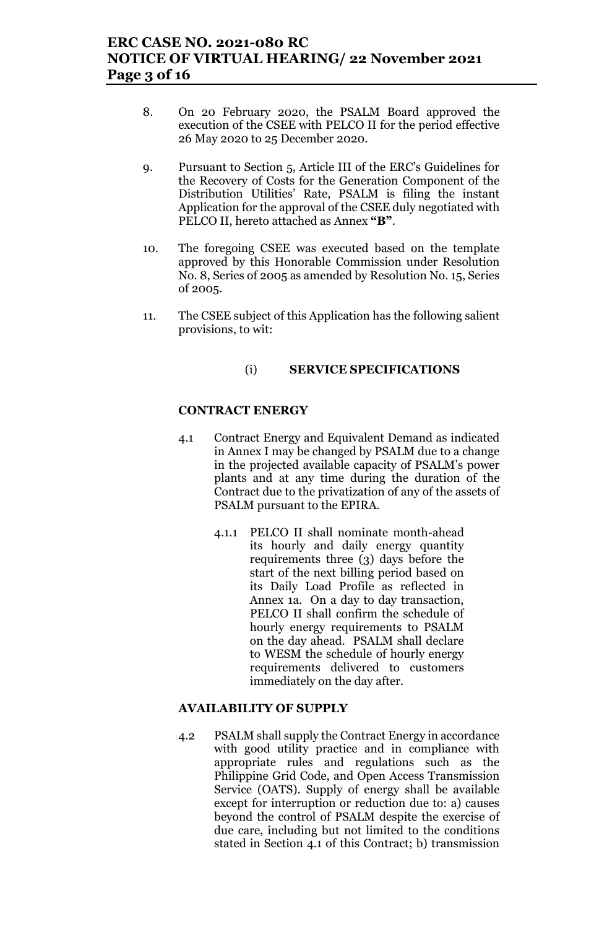# **ERC CASE NO. 2021-080 RC NOTICE OF VIRTUAL HEARING/ 22 November 2021 Page 3 of 16**

- 8. On 20 February 2020, the PSALM Board approved the execution of the CSEE with PELCO II for the period effective 26 May 2020 to 25 December 2020.
- 9. Pursuant to Section 5, Article III of the ERC's Guidelines for the Recovery of Costs for the Generation Component of the Distribution Utilities' Rate, PSALM is filing the instant Application for the approval of the CSEE duly negotiated with PELCO II, hereto attached as Annex **"B"**.
- 10. The foregoing CSEE was executed based on the template approved by this Honorable Commission under Resolution No. 8, Series of 2005 as amended by Resolution No. 15, Series of 2005.
- 11. The CSEE subject of this Application has the following salient provisions, to wit:

### (i) **SERVICE SPECIFICATIONS**

### **CONTRACT ENERGY**

- 4.1 Contract Energy and Equivalent Demand as indicated in Annex I may be changed by PSALM due to a change in the projected available capacity of PSALM's power plants and at any time during the duration of the Contract due to the privatization of any of the assets of PSALM pursuant to the EPIRA.
	- 4.1.1 PELCO II shall nominate month-ahead its hourly and daily energy quantity requirements three (3) days before the start of the next billing period based on its Daily Load Profile as reflected in Annex 1a. On a day to day transaction, PELCO II shall confirm the schedule of hourly energy requirements to PSALM on the day ahead. PSALM shall declare to WESM the schedule of hourly energy requirements delivered to customers immediately on the day after.

### **AVAILABILITY OF SUPPLY**

4.2 PSALM shall supply the Contract Energy in accordance with good utility practice and in compliance with appropriate rules and regulations such as the Philippine Grid Code, and Open Access Transmission Service (OATS). Supply of energy shall be available except for interruption or reduction due to: a) causes beyond the control of PSALM despite the exercise of due care, including but not limited to the conditions stated in Section 4.1 of this Contract; b) transmission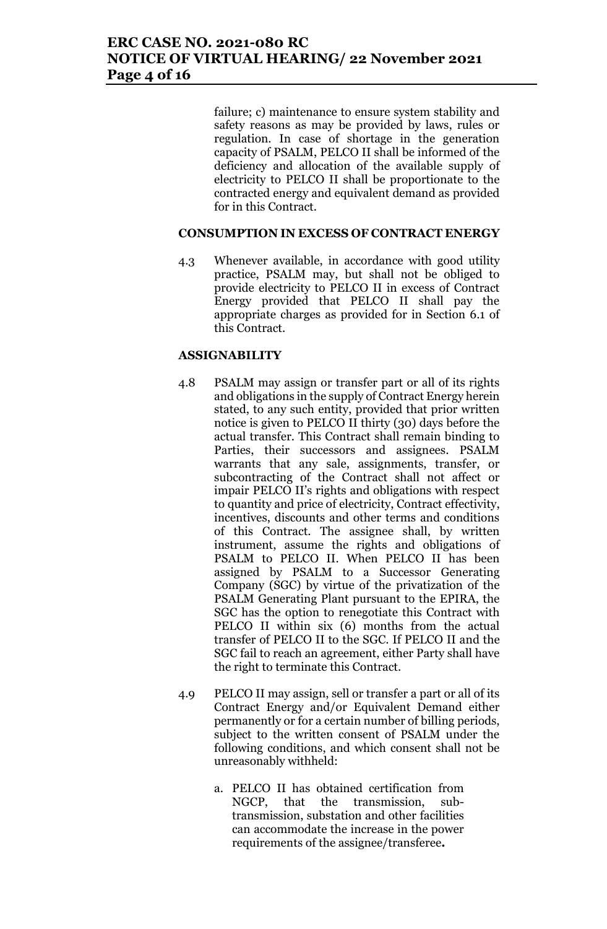# **ERC CASE NO. 2021-080 RC NOTICE OF VIRTUAL HEARING/ 22 November 2021 Page 4 of 16**

failure; c) maintenance to ensure system stability and safety reasons as may be provided by laws, rules or regulation. In case of shortage in the generation capacity of PSALM, PELCO II shall be informed of the deficiency and allocation of the available supply of electricity to PELCO II shall be proportionate to the contracted energy and equivalent demand as provided for in this Contract.

#### **CONSUMPTION IN EXCESS OF CONTRACT ENERGY**

4.3 Whenever available, in accordance with good utility practice, PSALM may, but shall not be obliged to provide electricity to PELCO II in excess of Contract Energy provided that PELCO II shall pay the appropriate charges as provided for in Section 6.1 of this Contract.

#### **ASSIGNABILITY**

- 4.8 PSALM may assign or transfer part or all of its rights and obligations in the supply of Contract Energy herein stated, to any such entity, provided that prior written notice is given to PELCO II thirty (30) days before the actual transfer. This Contract shall remain binding to Parties, their successors and assignees. PSALM warrants that any sale, assignments, transfer, or subcontracting of the Contract shall not affect or impair PELCO II's rights and obligations with respect to quantity and price of electricity, Contract effectivity, incentives, discounts and other terms and conditions of this Contract. The assignee shall, by written instrument, assume the rights and obligations of PSALM to PELCO II. When PELCO II has been assigned by PSALM to a Successor Generating Company (SGC) by virtue of the privatization of the PSALM Generating Plant pursuant to the EPIRA, the SGC has the option to renegotiate this Contract with PELCO II within six (6) months from the actual transfer of PELCO II to the SGC. If PELCO II and the SGC fail to reach an agreement, either Party shall have the right to terminate this Contract.
- 4.9 PELCO II may assign, sell or transfer a part or all of its Contract Energy and/or Equivalent Demand either permanently or for a certain number of billing periods, subject to the written consent of PSALM under the following conditions, and which consent shall not be unreasonably withheld:
	- a. PELCO II has obtained certification from NGCP, that the transmission, subtransmission, substation and other facilities can accommodate the increase in the power requirements of the assignee/transferee*.*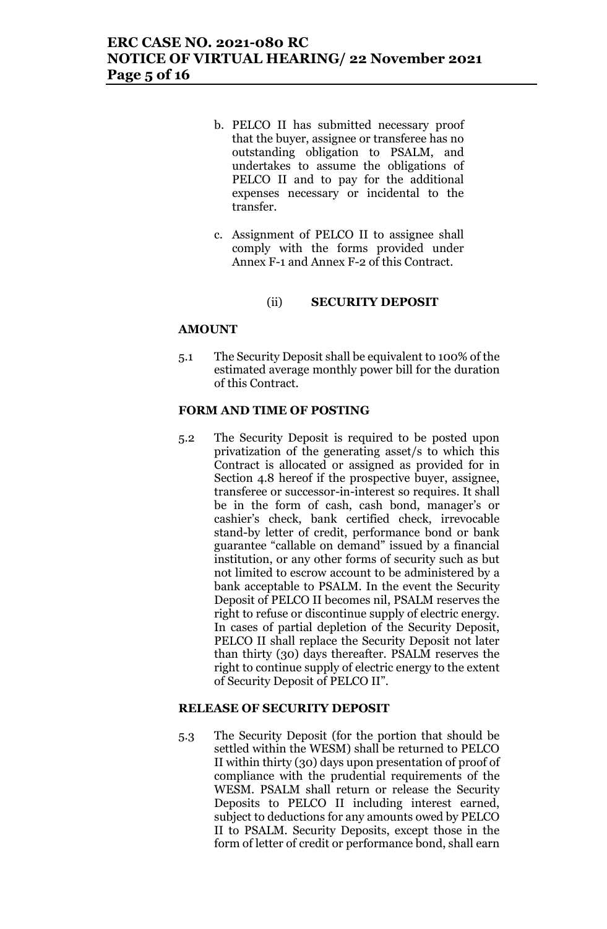- b. PELCO II has submitted necessary proof that the buyer, assignee or transferee has no outstanding obligation to PSALM, and undertakes to assume the obligations of PELCO II and to pay for the additional expenses necessary or incidental to the transfer.
- c. Assignment of PELCO II to assignee shall comply with the forms provided under Annex F-1 and Annex F-2 of this Contract.

#### (ii) **SECURITY DEPOSIT**

#### **AMOUNT**

5.1 The Security Deposit shall be equivalent to 100% of the estimated average monthly power bill for the duration of this Contract.

#### **FORM AND TIME OF POSTING**

5.2 The Security Deposit is required to be posted upon privatization of the generating asset/s to which this Contract is allocated or assigned as provided for in Section 4.8 hereof if the prospective buyer, assignee, transferee or successor-in-interest so requires. It shall be in the form of cash, cash bond, manager's or cashier's check, bank certified check, irrevocable stand-by letter of credit, performance bond or bank guarantee "callable on demand" issued by a financial institution, or any other forms of security such as but not limited to escrow account to be administered by a bank acceptable to PSALM. In the event the Security Deposit of PELCO II becomes nil, PSALM reserves the right to refuse or discontinue supply of electric energy. In cases of partial depletion of the Security Deposit, PELCO II shall replace the Security Deposit not later than thirty (30) days thereafter. PSALM reserves the right to continue supply of electric energy to the extent of Security Deposit of PELCO II".

#### **RELEASE OF SECURITY DEPOSIT**

5.3 The Security Deposit (for the portion that should be settled within the WESM) shall be returned to PELCO II within thirty (30) days upon presentation of proof of compliance with the prudential requirements of the WESM. PSALM shall return or release the Security Deposits to PELCO II including interest earned, subject to deductions for any amounts owed by PELCO II to PSALM. Security Deposits, except those in the form of letter of credit or performance bond, shall earn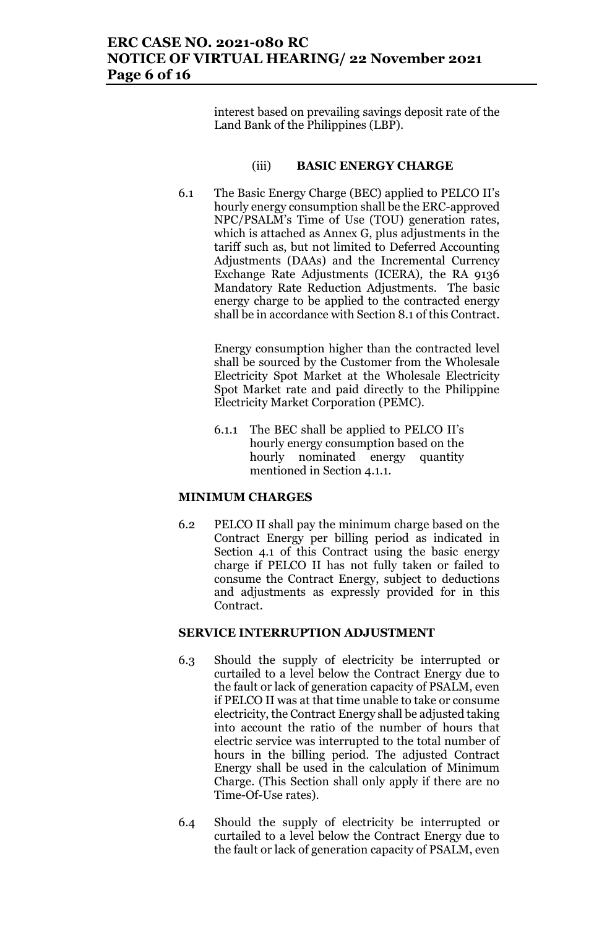# **ERC CASE NO. 2021-080 RC NOTICE OF VIRTUAL HEARING/ 22 November 2021 Page 6 of 16**

interest based on prevailing savings deposit rate of the Land Bank of the Philippines (LBP).

#### (iii) **BASIC ENERGY CHARGE**

6.1 The Basic Energy Charge (BEC) applied to PELCO II's hourly energy consumption shall be the ERC-approved NPC/PSALM's Time of Use (TOU) generation rates, which is attached as Annex G, plus adjustments in the tariff such as, but not limited to Deferred Accounting Adjustments (DAAs) and the Incremental Currency Exchange Rate Adjustments (ICERA), the RA 9136 Mandatory Rate Reduction Adjustments. The basic energy charge to be applied to the contracted energy shall be in accordance with Section 8.1 of this Contract.

> Energy consumption higher than the contracted level shall be sourced by the Customer from the Wholesale Electricity Spot Market at the Wholesale Electricity Spot Market rate and paid directly to the Philippine Electricity Market Corporation (PEMC).

6.1.1 The BEC shall be applied to PELCO II's hourly energy consumption based on the hourly nominated energy quantity mentioned in Section 4.1.1.

#### **MINIMUM CHARGES**

6.2 PELCO II shall pay the minimum charge based on the Contract Energy per billing period as indicated in Section 4.1 of this Contract using the basic energy charge if PELCO II has not fully taken or failed to consume the Contract Energy, subject to deductions and adjustments as expressly provided for in this Contract.

#### **SERVICE INTERRUPTION ADJUSTMENT**

- 6.3 Should the supply of electricity be interrupted or curtailed to a level below the Contract Energy due to the fault or lack of generation capacity of PSALM, even if PELCO II was at that time unable to take or consume electricity, the Contract Energy shall be adjusted taking into account the ratio of the number of hours that electric service was interrupted to the total number of hours in the billing period. The adjusted Contract Energy shall be used in the calculation of Minimum Charge. (This Section shall only apply if there are no Time-Of-Use rates).
- 6.4 Should the supply of electricity be interrupted or curtailed to a level below the Contract Energy due to the fault or lack of generation capacity of PSALM, even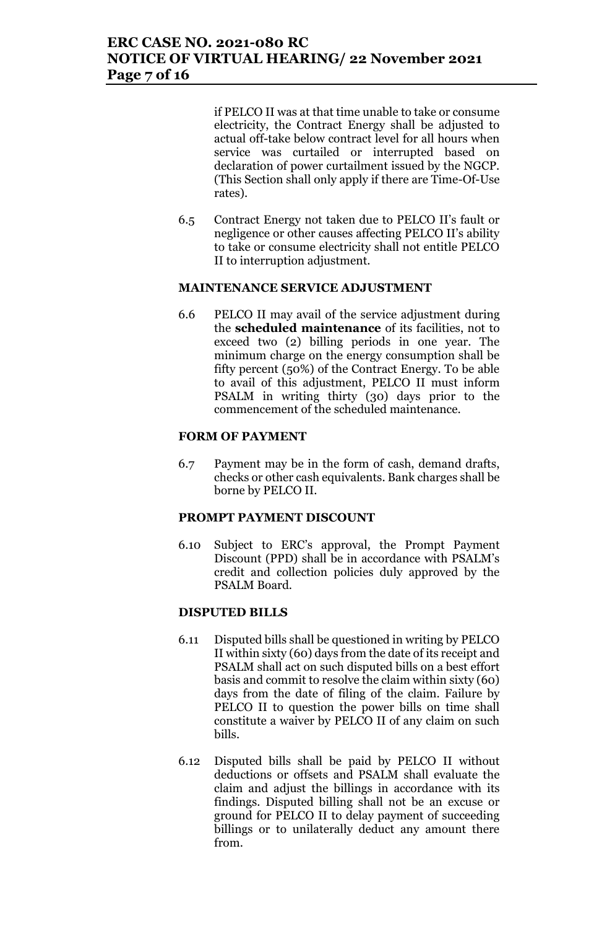if PELCO II was at that time unable to take or consume electricity, the Contract Energy shall be adjusted to actual off-take below contract level for all hours when service was curtailed or interrupted based on declaration of power curtailment issued by the NGCP. (This Section shall only apply if there are Time-Of-Use rates).

6.5 Contract Energy not taken due to PELCO II's fault or negligence or other causes affecting PELCO II's ability to take or consume electricity shall not entitle PELCO II to interruption adjustment.

### **MAINTENANCE SERVICE ADJUSTMENT**

6.6 PELCO II may avail of the service adjustment during the **scheduled maintenance** of its facilities, not to exceed two (2) billing periods in one year. The minimum charge on the energy consumption shall be fifty percent (50%) of the Contract Energy. To be able to avail of this adjustment, PELCO II must inform PSALM in writing thirty (30) days prior to the commencement of the scheduled maintenance.

#### **FORM OF PAYMENT**

6.7 Payment may be in the form of cash, demand drafts, checks or other cash equivalents. Bank charges shall be borne by PELCO II.

#### **PROMPT PAYMENT DISCOUNT**

6.10 Subject to ERC's approval, the Prompt Payment Discount (PPD) shall be in accordance with PSALM's credit and collection policies duly approved by the PSALM Board.

#### **DISPUTED BILLS**

- 6.11 Disputed bills shall be questioned in writing by PELCO II within sixty (60) days from the date of its receipt and PSALM shall act on such disputed bills on a best effort basis and commit to resolve the claim within sixty (60) days from the date of filing of the claim. Failure by PELCO II to question the power bills on time shall constitute a waiver by PELCO II of any claim on such bills.
- 6.12 Disputed bills shall be paid by PELCO II without deductions or offsets and PSALM shall evaluate the claim and adjust the billings in accordance with its findings. Disputed billing shall not be an excuse or ground for PELCO II to delay payment of succeeding billings or to unilaterally deduct any amount there from.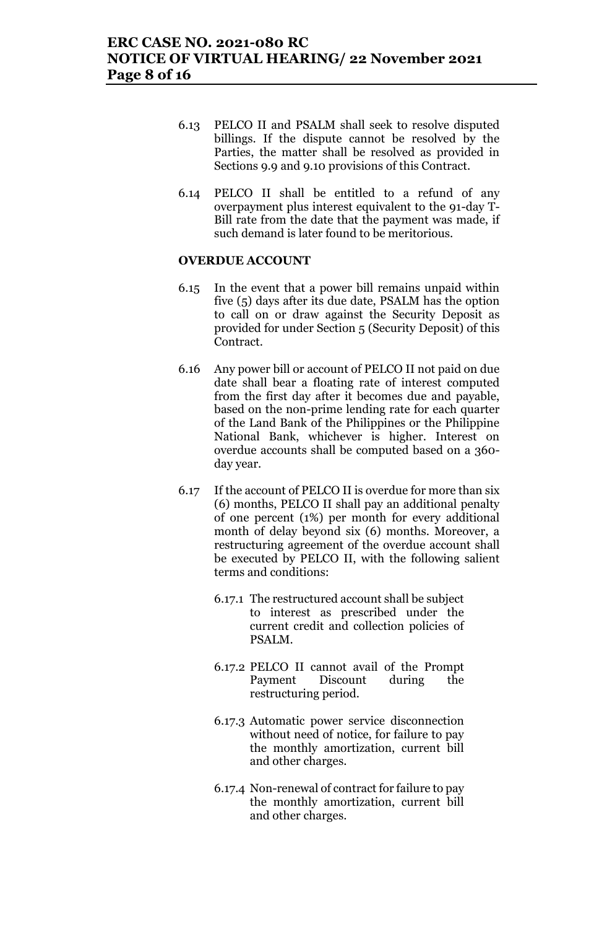- 6.13 PELCO II and PSALM shall seek to resolve disputed billings. If the dispute cannot be resolved by the Parties, the matter shall be resolved as provided in Sections 9.9 and 9.10 provisions of this Contract.
- 6.14 PELCO II shall be entitled to a refund of any overpayment plus interest equivalent to the 91-day T-Bill rate from the date that the payment was made, if such demand is later found to be meritorious.

#### **OVERDUE ACCOUNT**

- 6.15 In the event that a power bill remains unpaid within five (5) days after its due date, PSALM has the option to call on or draw against the Security Deposit as provided for under Section 5 (Security Deposit) of this Contract.
- 6.16 Any power bill or account of PELCO II not paid on due date shall bear a floating rate of interest computed from the first day after it becomes due and payable, based on the non-prime lending rate for each quarter of the Land Bank of the Philippines or the Philippine National Bank, whichever is higher. Interest on overdue accounts shall be computed based on a 360 day year.
- 6.17 If the account of PELCO II is overdue for more than six (6) months, PELCO II shall pay an additional penalty of one percent (1%) per month for every additional month of delay beyond six (6) months. Moreover, a restructuring agreement of the overdue account shall be executed by PELCO II, with the following salient terms and conditions:
	- 6.17.1 The restructured account shall be subject to interest as prescribed under the current credit and collection policies of PSALM.
	- 6.17.2 PELCO II cannot avail of the Prompt Payment Discount during the restructuring period.
	- 6.17.3 Automatic power service disconnection without need of notice, for failure to pay the monthly amortization, current bill and other charges.
	- 6.17.4 Non-renewal of contract for failure to pay the monthly amortization, current bill and other charges.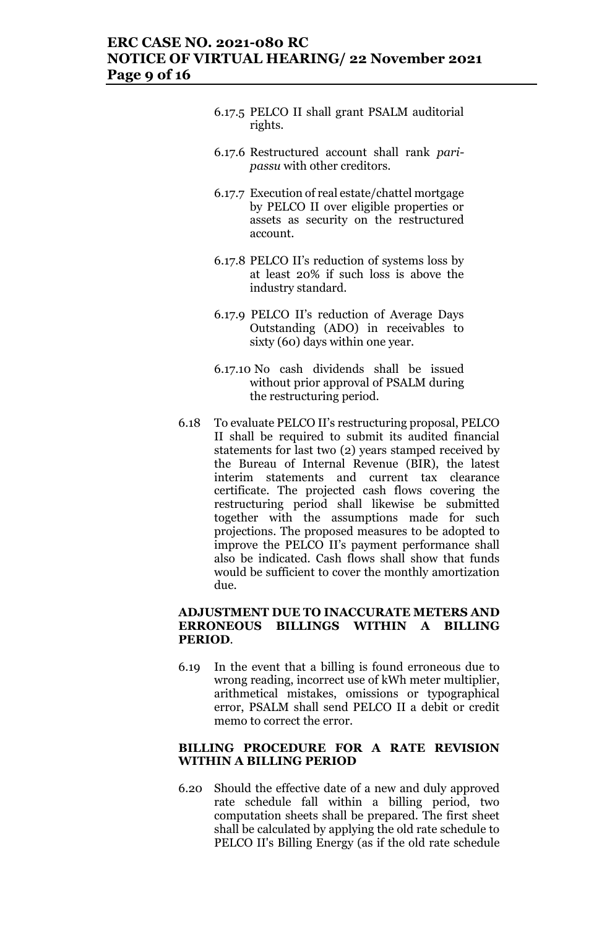### **ERC CASE NO. 2021-080 RC NOTICE OF VIRTUAL HEARING/ 22 November 2021 Page 9 of 16**

- 6.17.5 PELCO II shall grant PSALM auditorial rights.
- 6.17.6 Restructured account shall rank *paripassu* with other creditors.
- 6.17.7 Execution of real estate/chattel mortgage by PELCO II over eligible properties or assets as security on the restructured account.
- 6.17.8 PELCO II's reduction of systems loss by at least 20% if such loss is above the industry standard.
- 6.17.9 PELCO II's reduction of Average Days Outstanding (ADO) in receivables to sixty (60) days within one year.
- 6.17.10 No cash dividends shall be issued without prior approval of PSALM during the restructuring period.
- 6.18 To evaluate PELCO II's restructuring proposal, PELCO II shall be required to submit its audited financial statements for last two (2) years stamped received by the Bureau of Internal Revenue (BIR), the latest interim statements and current tax clearance certificate. The projected cash flows covering the restructuring period shall likewise be submitted together with the assumptions made for such projections. The proposed measures to be adopted to improve the PELCO II's payment performance shall also be indicated. Cash flows shall show that funds would be sufficient to cover the monthly amortization due.

#### **ADJUSTMENT DUE TO INACCURATE METERS AND ERRONEOUS BILLINGS WITHIN A BILLING PERIOD**.

6.19 In the event that a billing is found erroneous due to wrong reading, incorrect use of kWh meter multiplier, arithmetical mistakes, omissions or typographical error, PSALM shall send PELCO II a debit or credit memo to correct the error.

#### **BILLING PROCEDURE FOR A RATE REVISION WITHIN A BILLING PERIOD**

6.20 Should the effective date of a new and duly approved rate schedule fall within a billing period, two computation sheets shall be prepared. The first sheet shall be calculated by applying the old rate schedule to PELCO II's Billing Energy (as if the old rate schedule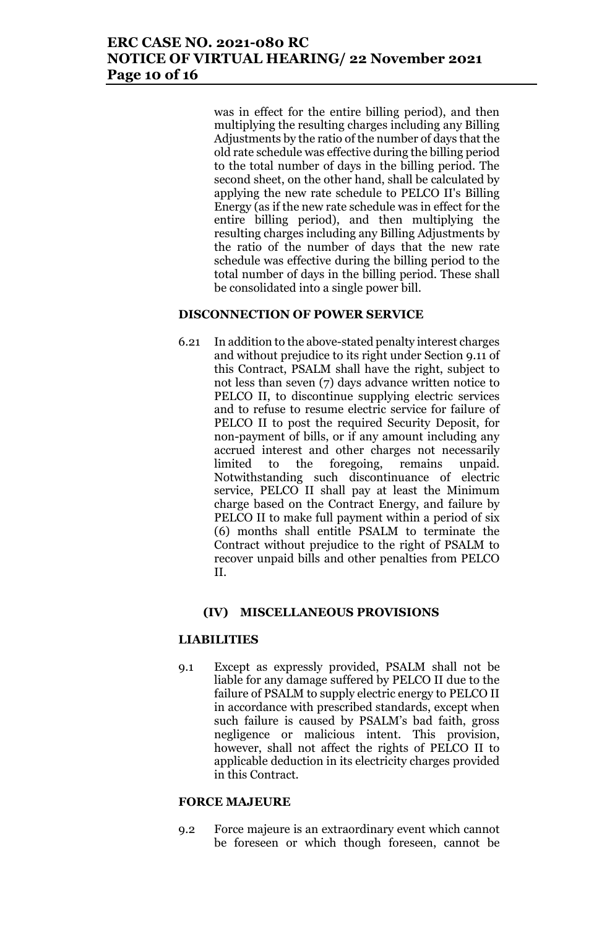was in effect for the entire billing period), and then multiplying the resulting charges including any Billing Adjustments by the ratio of the number of days that the old rate schedule was effective during the billing period to the total number of days in the billing period. The second sheet, on the other hand, shall be calculated by applying the new rate schedule to PELCO II's Billing Energy (as if the new rate schedule was in effect for the entire billing period), and then multiplying the resulting charges including any Billing Adjustments by the ratio of the number of days that the new rate schedule was effective during the billing period to the total number of days in the billing period. These shall be consolidated into a single power bill.

### **DISCONNECTION OF POWER SERVICE**

6.21 In addition to the above-stated penalty interest charges and without prejudice to its right under Section 9.11 of this Contract, PSALM shall have the right, subject to not less than seven (7) days advance written notice to PELCO II, to discontinue supplying electric services and to refuse to resume electric service for failure of PELCO II to post the required Security Deposit, for non-payment of bills, or if any amount including any accrued interest and other charges not necessarily limited to the foregoing, remains unpaid. Notwithstanding such discontinuance of electric service, PELCO II shall pay at least the Minimum charge based on the Contract Energy, and failure by PELCO II to make full payment within a period of six (6) months shall entitle PSALM to terminate the Contract without prejudice to the right of PSALM to recover unpaid bills and other penalties from PELCO II.

### **(IV) MISCELLANEOUS PROVISIONS**

### **LIABILITIES**

9.1 Except as expressly provided, PSALM shall not be liable for any damage suffered by PELCO II due to the failure of PSALM to supply electric energy to PELCO II in accordance with prescribed standards, except when such failure is caused by PSALM's bad faith, gross negligence or malicious intent. This provision, however, shall not affect the rights of PELCO II to applicable deduction in its electricity charges provided in this Contract.

#### **FORCE MAJEURE**

9.2 Force majeure is an extraordinary event which cannot be foreseen or which though foreseen, cannot be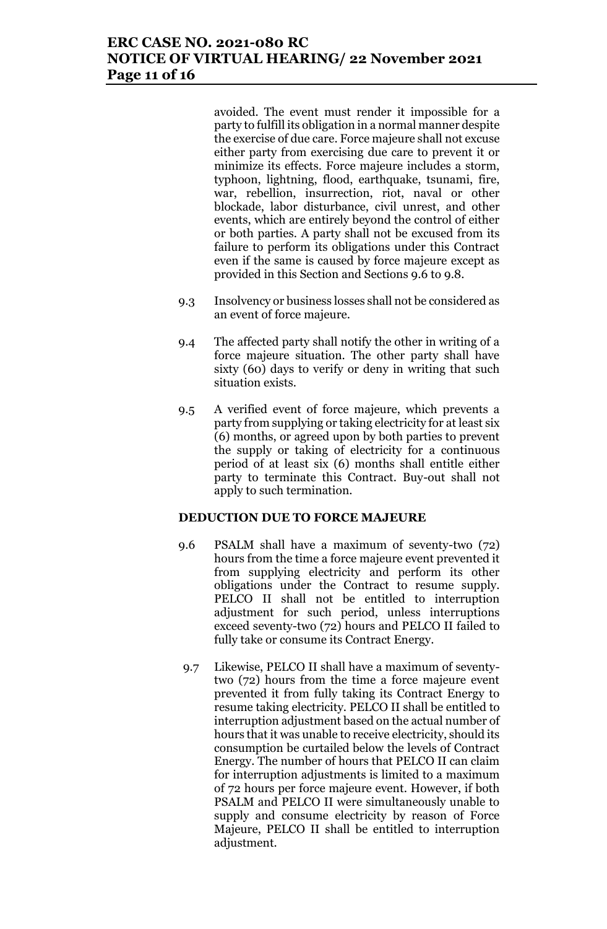# **ERC CASE NO. 2021-080 RC NOTICE OF VIRTUAL HEARING/ 22 November 2021 Page 11 of 16**

avoided. The event must render it impossible for a party to fulfill its obligation in a normal manner despite the exercise of due care. Force majeure shall not excuse either party from exercising due care to prevent it or minimize its effects. Force majeure includes a storm, typhoon, lightning, flood, earthquake, tsunami, fire, war, rebellion, insurrection, riot, naval or other blockade, labor disturbance, civil unrest, and other events, which are entirely beyond the control of either or both parties. A party shall not be excused from its failure to perform its obligations under this Contract even if the same is caused by force majeure except as provided in this Section and Sections 9.6 to 9.8.

- 9.3 Insolvency or business losses shall not be considered as an event of force majeure.
- 9.4 The affected party shall notify the other in writing of a force majeure situation. The other party shall have sixty (60) days to verify or deny in writing that such situation exists.
- 9.5 A verified event of force majeure, which prevents a party from supplying or taking electricity for at least six (6) months, or agreed upon by both parties to prevent the supply or taking of electricity for a continuous period of at least six (6) months shall entitle either party to terminate this Contract. Buy-out shall not apply to such termination.

#### **DEDUCTION DUE TO FORCE MAJEURE**

- 9.6 PSALM shall have a maximum of seventy-two (72) hours from the time a force majeure event prevented it from supplying electricity and perform its other obligations under the Contract to resume supply. PELCO II shall not be entitled to interruption adjustment for such period, unless interruptions exceed seventy-two (72) hours and PELCO II failed to fully take or consume its Contract Energy.
- 9.7 Likewise, PELCO II shall have a maximum of seventytwo (72) hours from the time a force majeure event prevented it from fully taking its Contract Energy to resume taking electricity. PELCO II shall be entitled to interruption adjustment based on the actual number of hours that it was unable to receive electricity, should its consumption be curtailed below the levels of Contract Energy. The number of hours that PELCO II can claim for interruption adjustments is limited to a maximum of 72 hours per force majeure event. However, if both PSALM and PELCO II were simultaneously unable to supply and consume electricity by reason of Force Majeure, PELCO II shall be entitled to interruption adjustment.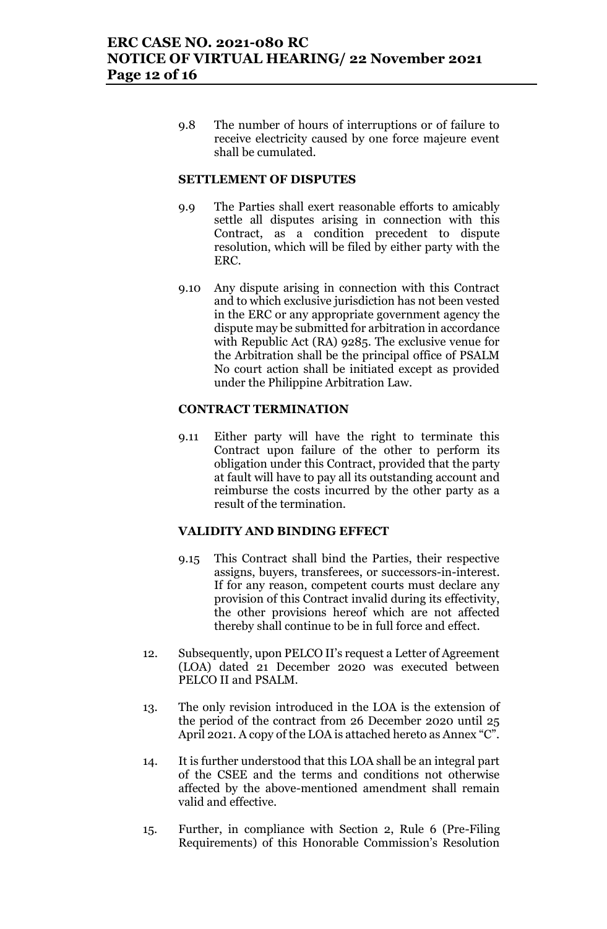9.8 The number of hours of interruptions or of failure to receive electricity caused by one force majeure event shall be cumulated.

#### **SETTLEMENT OF DISPUTES**

- 9.9 The Parties shall exert reasonable efforts to amicably settle all disputes arising in connection with this Contract, as a condition precedent to dispute resolution, which will be filed by either party with the ERC.
- 9.10 Any dispute arising in connection with this Contract and to which exclusive jurisdiction has not been vested in the ERC or any appropriate government agency the dispute may be submitted for arbitration in accordance with Republic Act (RA) 9285. The exclusive venue for the Arbitration shall be the principal office of PSALM No court action shall be initiated except as provided under the Philippine Arbitration Law.

#### **CONTRACT TERMINATION**

9.11 Either party will have the right to terminate this Contract upon failure of the other to perform its obligation under this Contract, provided that the party at fault will have to pay all its outstanding account and reimburse the costs incurred by the other party as a result of the termination.

#### **VALIDITY AND BINDING EFFECT**

- 9.15 This Contract shall bind the Parties, their respective assigns, buyers, transferees, or successors-in-interest. If for any reason, competent courts must declare any provision of this Contract invalid during its effectivity, the other provisions hereof which are not affected thereby shall continue to be in full force and effect.
- 12. Subsequently, upon PELCO II's request a Letter of Agreement (LOA) dated 21 December 2020 was executed between PELCO II and PSALM.
- 13. The only revision introduced in the LOA is the extension of the period of the contract from 26 December 2020 until 25 April 2021. A copy of the LOA is attached hereto as Annex "C".
- 14. It is further understood that this LOA shall be an integral part of the CSEE and the terms and conditions not otherwise affected by the above-mentioned amendment shall remain valid and effective.
- 15. Further, in compliance with Section 2, Rule 6 (Pre-Filing Requirements) of this Honorable Commission's Resolution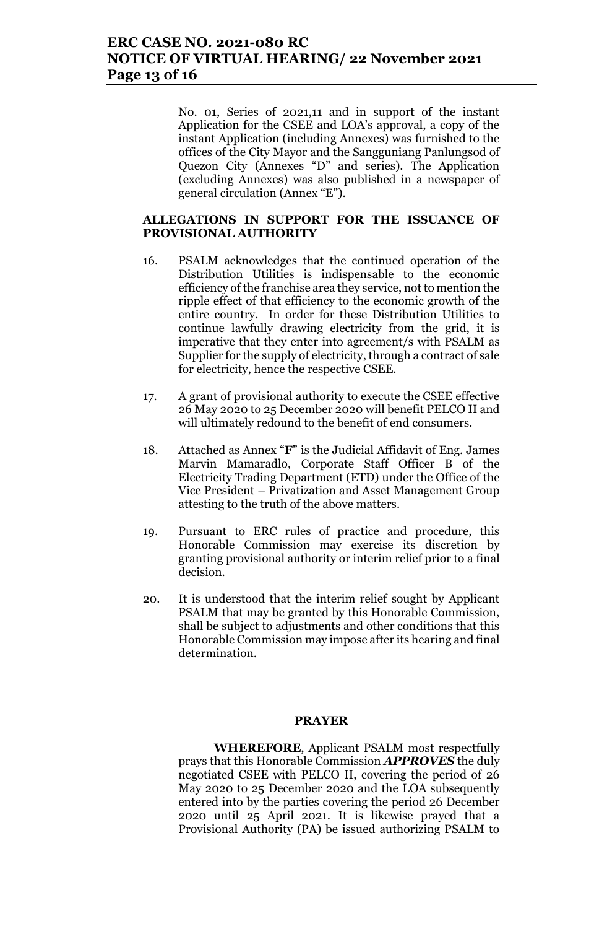No. 01, Series of 2021,11 and in support of the instant Application for the CSEE and LOA's approval, a copy of the instant Application (including Annexes) was furnished to the offices of the City Mayor and the Sangguniang Panlungsod of Quezon City (Annexes "D" and series). The Application (excluding Annexes) was also published in a newspaper of general circulation (Annex "E").

#### **ALLEGATIONS IN SUPPORT FOR THE ISSUANCE OF PROVISIONAL AUTHORITY**

- 16. PSALM acknowledges that the continued operation of the Distribution Utilities is indispensable to the economic efficiency of the franchise area they service, not to mention the ripple effect of that efficiency to the economic growth of the entire country. In order for these Distribution Utilities to continue lawfully drawing electricity from the grid, it is imperative that they enter into agreement/s with PSALM as Supplier for the supply of electricity, through a contract of sale for electricity, hence the respective CSEE.
- 17. A grant of provisional authority to execute the CSEE effective 26 May 2020 to 25 December 2020 will benefit PELCO II and will ultimately redound to the benefit of end consumers.
- 18. Attached as Annex "**F**" is the Judicial Affidavit of Eng. James Marvin Mamaradlo, Corporate Staff Officer B of the Electricity Trading Department (ETD) under the Office of the Vice President – Privatization and Asset Management Group attesting to the truth of the above matters.
- 19. Pursuant to ERC rules of practice and procedure, this Honorable Commission may exercise its discretion by granting provisional authority or interim relief prior to a final decision.
- 20. It is understood that the interim relief sought by Applicant PSALM that may be granted by this Honorable Commission, shall be subject to adjustments and other conditions that this Honorable Commission may impose after its hearing and final determination.

#### **PRAYER**

**WHEREFORE**, Applicant PSALM most respectfully prays that this Honorable Commission *APPROVES* the duly negotiated CSEE with PELCO II, covering the period of 26 May 2020 to 25 December 2020 and the LOA subsequently entered into by the parties covering the period 26 December 2020 until 25 April 2021. It is likewise prayed that a Provisional Authority (PA) be issued authorizing PSALM to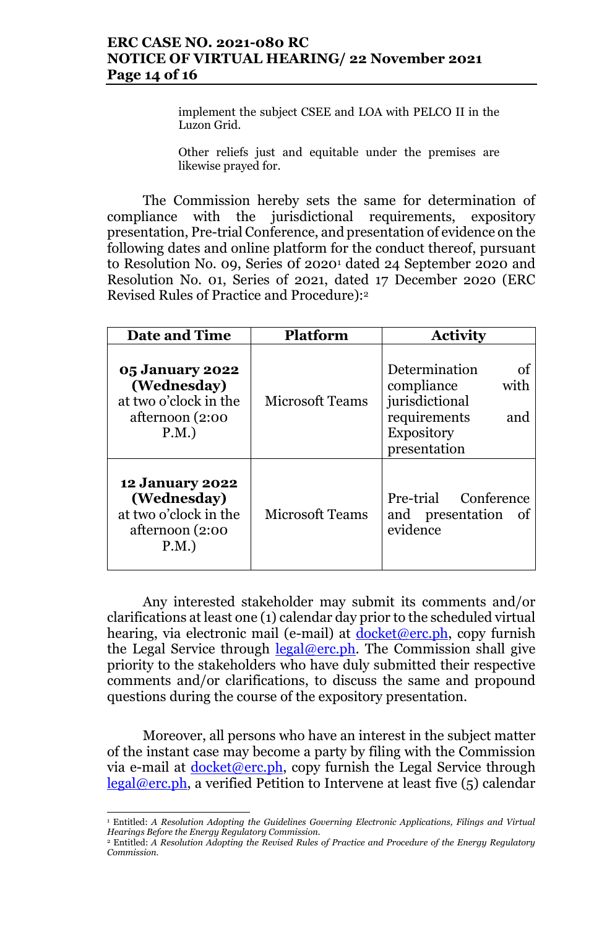# **ERC CASE NO. 2021-080 RC NOTICE OF VIRTUAL HEARING/ 22 November 2021 Page 14 of 16**

implement the subject CSEE and LOA with PELCO II in the Luzon Grid.

Other reliefs just and equitable under the premises are likewise prayed for.

The Commission hereby sets the same for determination of compliance with the jurisdictional requirements, expository presentation, Pre-trial Conference, and presentation of evidence on the following dates and online platform for the conduct thereof, pursuant to Resolution No. 09, Series 0f 2020<sup>1</sup> dated 24 September 2020 and Resolution No. 01, Series of 2021, dated 17 December 2020 (ERC Revised Rules of Practice and Procedure):<sup>2</sup>

| <b>Date and Time</b>                                                                      | Platform               | <b>Activity</b>                                                                                                         |
|-------------------------------------------------------------------------------------------|------------------------|-------------------------------------------------------------------------------------------------------------------------|
| <b>05 January 2022</b><br>(Wednesday)<br>at two o'clock in the<br>afternoon (2:00<br>P.M. | <b>Microsoft Teams</b> | Determination<br>οf<br>compliance<br>with<br>jurisdictional<br>requirements<br>and<br><b>Expository</b><br>presentation |
| <b>12 January 2022</b><br>(Wednesday)<br>at two o'clock in the<br>afternoon (2:00<br>P.M. | <b>Microsoft Teams</b> | Pre-trial Conference<br>and presentation<br>- of<br>evidence                                                            |

Any interested stakeholder may submit its comments and/or clarifications at least one (1) calendar day prior to the scheduled virtual hearing, via electronic mail (e-mail) at  $d$ ocket@erc.ph, copy furnish the Legal Service through  $\text{legal@erc.ph.}$  The Commission shall give priority to the stakeholders who have duly submitted their respective comments and/or clarifications, to discuss the same and propound questions during the course of the expository presentation.

Moreover, all persons who have an interest in the subject matter of the instant case may become a party by filing with the Commission via e-mail at  $\frac{\text{docket}(\omega \text{erc},ph, \text{copy furnish the Legal Service through})}{\text{dockett}(\omega \text{erc},ph, \text{copy furnish the legal Service through})}$ legal@erc.ph, a verified Petition to Intervene at least five (5) calendar

 $\overline{a}$ <sup>1</sup> Entitled: *A Resolution Adopting the Guidelines Governing Electronic Applications, Filings and Virtual Hearings Before the Energy Regulatory Commission.*

<sup>2</sup> Entitled: *A Resolution Adopting the Revised Rules of Practice and Procedure of the Energy Regulatory Commission.*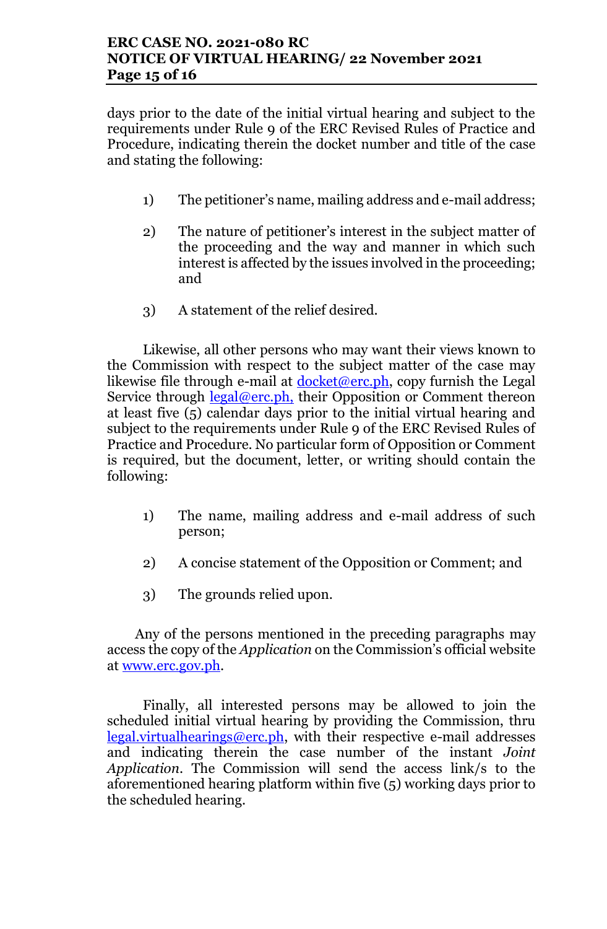days prior to the date of the initial virtual hearing and subject to the requirements under Rule 9 of the ERC Revised Rules of Practice and Procedure, indicating therein the docket number and title of the case and stating the following:

- 1) The petitioner's name, mailing address and e-mail address;
- 2) The nature of petitioner's interest in the subject matter of the proceeding and the way and manner in which such interest is affected by the issues involved in the proceeding; and
- 3) A statement of the relief desired.

Likewise, all other persons who may want their views known to the Commission with respect to the subject matter of the case may likewise file through e-mail at  $\frac{\text{clocket}(\omega \text{erc}, ph)}{\text{ocket}(\omega \text{erc}, ph)}$ , copy furnish the Legal Service through legal@erc.ph, their Opposition or Comment thereon at least five (5) calendar days prior to the initial virtual hearing and subject to the requirements under Rule 9 of the ERC Revised Rules of Practice and Procedure. No particular form of Opposition or Comment is required, but the document, letter, or writing should contain the following:

- 1) The name, mailing address and e-mail address of such person;
- 2) A concise statement of the Opposition or Comment; and
- 3) The grounds relied upon.

Any of the persons mentioned in the preceding paragraphs may access the copy of the *Application* on the Commission's official website at www.erc.gov.ph.

Finally, all interested persons may be allowed to join the scheduled initial virtual hearing by providing the Commission, thru legal.virtualhearings@erc.ph, with their respective e-mail addresses and indicating therein the case number of the instant *Joint Application*. The Commission will send the access link/s to the aforementioned hearing platform within five (5) working days prior to the scheduled hearing.